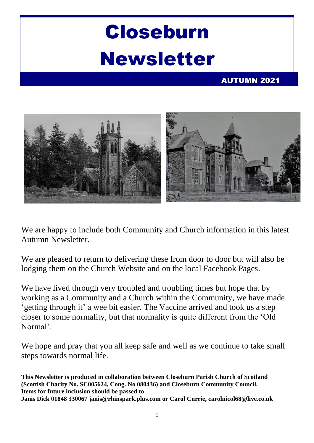# Closeburn Newsletter

# AUTUMN 2021



We are happy to include both Community and Church information in this latest Autumn Newsletter.

We are pleased to return to delivering these from door to door but will also be lodging them on the Church Website and on the local Facebook Pages.

We have lived through very troubled and troubling times but hope that by working as a Community and a Church within the Community, we have made 'getting through it' a wee bit easier. The Vaccine arrived and took us a step closer to some normality, but that normality is quite different from the 'Old Normal'.

We hope and pray that you all keep safe and well as we continue to take small steps towards normal life.

**This Newsletter is produced in collaboration between Closeburn Parish Church of Scotland (Scottish Charity No. SC005624, Cong. No 080436) and Closeburn Community Council. Items for future inclusion should be passed to Janis Dick 01848 330067 janis@rhinspark.plus.com or Carol Currie, carolnicol68@live.co.uk**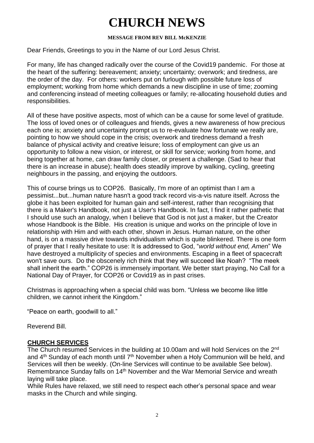# **CHURCH NEWS**

#### **MESSAGE FROM REV BILL McKENZIE**

Dear Friends, Greetings to you in the Name of our Lord Jesus Christ.

For many, life has changed radically over the course of the Covid19 pandemic. For those at the heart of the suffering: bereavement; anxiety; uncertainty; overwork; and tiredness, are the order of the day. For others: workers put on furlough with possible future loss of employment; working from home which demands a new discipline in use of time; zooming and conferencing instead of meeting colleagues or family; re-allocating household duties and responsibilities.

All of these have positive aspects, most of which can be a cause for some level of gratitude. The loss of loved ones or of colleagues and friends, gives a new awareness of how precious each one is; anxiety and uncertainty prompt us to re-evaluate how fortunate we really are, pointing to how we should cope in the crisis; overwork and tiredness demand a fresh balance of physical activity and creative leisure; loss of employment can give us an opportunity to follow a new vision, or interest, or skill for service; working from home, and being together at home, can draw family closer, or present a challenge. (Sad to hear that there is an increase in abuse); health does steadily improve by walking, cycling, greeting neighbours in the passing, and enjoying the outdoors.

This of course brings us to COP26. Basically, I'm more of an optimist than I am a pessimist...but...human nature hasn't a good track record vis-a-vis nature itself. Across the globe it has been exploited for human gain and self-interest, rather than recognising that there is a Maker's Handbook, not just a User's Handbook. In fact, I find it rather pathetic that I should use such an analogy, when I believe that God is not just a maker, but the Creator whose Handbook is the Bible. His creation is unique and works on the principle of love in relationship with Him and with each other, shown in Jesus. Human nature, on the other hand, is on a massive drive towards individualism which is quite blinkered. There is one form of prayer that I really hesitate to use: It is addressed to God, "*world without end, Amen*" We have destroyed a multiplicity of species and environments. Escaping in a fleet of spacecraft won't save ours. Do the obscenely rich think that they will succeed like Noah? "The meek shall inherit the earth." COP26 is immensely important. We better start praying, No Call for a National Day of Prayer, for COP26 or Covid19 as in past crises.

Christmas is approaching when a special child was born. "Unless we become like little children, we cannot inherit the Kingdom."

"Peace on earth, goodwill to all."

Reverend Bill.

#### **CHURCH SERVICES**

The Church resumed Services in the building at 10.00am and will hold Services on the 2<sup>nd</sup> and 4<sup>th</sup> Sunday of each month until 7<sup>th</sup> November when a Holy Communion will be held, and Services will then be weekly. (On-line Services will continue to be available See below). Remembrance Sunday falls on 14th November and the War Memorial Service and wreath laying will take place.

While Rules have relaxed, we still need to respect each other's personal space and wear masks in the Church and while singing.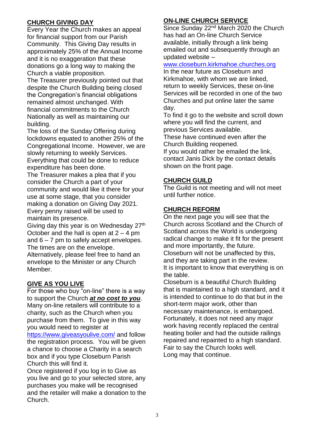# **CHURCH GIVING DAY**

Every Year the Church makes an appeal for financial support from our Parish Community. This Giving Day results in approximately 25% of the Annual Income and it is no exaggeration that these donations go a long way to making the Church a viable proposition.

The Treasurer previously pointed out that despite the Church Building being closed the Congregation's financial obligations remained almost unchanged. With financial commitments to the Church Nationally as well as maintaining our building.

The loss of the Sunday Offering during lockdowns equated to another 25% of the Congregational Income. However, we are slowly returning to weekly Services. Everything that could be done to reduce expenditure has been done.

The Treasurer makes a plea that if you consider the Church a part of your community and would like it there for your use at some stage, that you consider making a donation on Giving Day 2021. Every penny raised will be used to maintain its presence.

Giving day this year is on Wednesday 27<sup>th</sup> October and the hall is open at  $2 - 4$  pm and  $6 - 7$  pm to safely accept envelopes. The times are on the envelope.

Alternatively, please feel free to hand an envelope to the Minister or any Church Member.

# **GIVE AS YOU LIVE**

For those who buy "on-line" there is a way to support the Church *at no cost to you*. Many on-line retailers will contribute to a charity, such as the Church when you purchase from them. To give in this way you would need to register at

<https://www.giveasyoulive.com/> and follow the registration process. You will be given a chance to choose a Charity in a search box and if you type Closeburn Parish Church this will find it.

Once registered if you log in to Give as you live and go to your selected store, any purchases you make will be recognised and the retailer will make a donation to the Church.

# **ON-LINE CHURCH SERVICE**

Since Sunday 22<sup>nd</sup> March 2020 the Church has had an On-line Church Service available, initially through a link being emailed out and subsequently through an updated website –

### [www.closeburn.kirkmahoe.churches.org](http://www.closeburn.kirkmahoe.churches.org/)

In the near future as Closeburn and Kirkmahoe, with whom we are linked, return to weekly Services, these on-line Services will be recorded in one of the two Churches and put online later the same day.

To find it go to the website and scroll down where you will find the current, and previous Services available.

These have continued even after the Church Building reopened.

If you would rather be emailed the link, contact Janis Dick by the contact details shown on the front page.

# **CHURCH GUILD**

The Guild is not meeting and will not meet until further notice.

# **CHURCH REFORM**

On the next page you will see that the Church across Scotland and the Church of Scotland across the World is undergoing radical change to make it fit for the present and more importantly, the future. Closeburn will not be unaffected by this, and they are taking part in the review.

It is important to know that everything is on the table.

Closeburn is a beautiful Church Building that is maintained to a high standard, and it is intended to continue to do that but in the short-term major work, other than necessary maintenance, is embargoed. Fortunately, it does not need any major work having recently replaced the central heating boiler and had the outside railings repaired and repainted to a high standard. Fair to say the Church looks well. Long may that continue.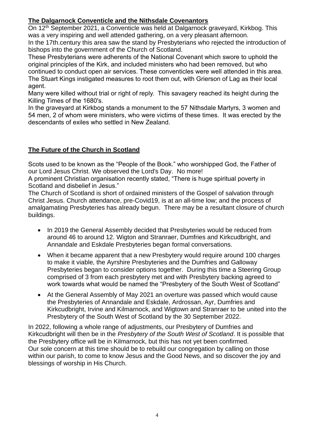# **The Dalgarnock Conventicle and the Nithsdale Covenantors**

On 12<sup>th</sup> September 2021, a Conventicle was held at Dalgarnock graveyard, Kirkbog. This was a very inspiring and well attended gathering, on a very pleasant afternoon. In the 17th.century this area saw the stand by Presbyterians who rejected the introduction of bishops into the government of the Church of Scotland.

These Presbyterians were adherents of the National Covenant which swore to uphold the original principles of the Kirk, and included ministers who had been removed, but who continued to conduct open air services. These conventicles were well attended in this area. The Stuart Kings instigated measures to root them out, with Grierson of Lag as their local agent.

Many were killed without trial or right of reply. This savagery reached its height during the Killing Times of the 1680's.

In the graveyard at Kirkbog stands a monument to the 57 Nithsdale Martyrs, 3 women and 54 men, 2 of whom were ministers, who were victims of these times. It was erected by the descendants of exiles who settled in New Zealand.

# **The Future of the Church in Scotland**

Scots used to be known as the "People of the Book." who worshipped God, the Father of our Lord Jesus Christ. We observed the Lord's Day. No more!

A prominent Christian organisation recently stated, "There is huge spiritual poverty in Scotland and disbelief in Jesus."

The Church of Scotland is short of ordained ministers of the Gospel of salvation through Christ Jesus. Church attendance, pre-Covid19, is at an all-time low; and the process of amalgamating Presbyteries has already begun. There may be a resultant closure of church buildings.

- In 2019 the General Assembly decided that Presbyteries would be reduced from around 46 to around 12. Wigton and Stranraer, Dumfries and Kirkcudbright, and Annandale and Eskdale Presbyteries began formal conversations.
- When it became apparent that a new Presbytery would require around 100 charges to make it viable, the Ayrshire Presbyteries and the Dumfries and Galloway Presbyteries began to consider options together. During this time a Steering Group comprised of 3 from each presbytery met and with Presbytery backing agreed to work towards what would be named the "Presbytery of the South West of Scotland"
- At the General Assembly of May 2021 an overture was passed which would cause the Presbyteries of Annandale and Eskdale, Ardrossan, Ayr, Dumfries and Kirkcudbright, Irvine and Kilmarnock, and Wigtown and Stranraer to be united into the Presbytery of the South West of Scotland by the 30 September 2022.

In 2022, following a whole range of adjustments, our Presbytery of Dumfries and Kirkcudbright will then be in the *Presbytery of the South West of Scotland*. It is possible that the Presbytery office will be in Kilmarnock, but this has not yet been confirmed. Our sole concern at this time should be to rebuild our congregation by calling on those within our parish, to come to know Jesus and the Good News, and so discover the joy and blessings of worship in His Church.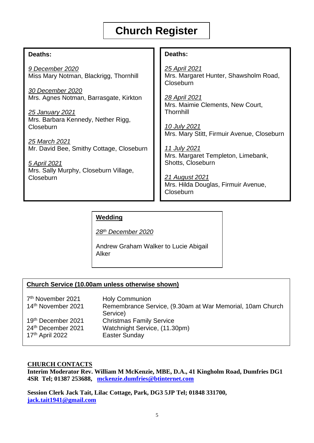# **Church Register**

#### **Deaths:**

*9 December 2020* Miss Mary Notman, Blackrigg, Thornhill

*30 December 2020* Mrs. Agnes Notman, Barrasgate, Kirkton

*25 January 2021* Mrs. Barbara Kennedy, Nether Rigg, Closeburn

*25 March 2021* Mr. David Bee, Smithy Cottage, Closeburn

*5 April 2021* Mrs. Sally Murphy, Closeburn Village, Closeburn

#### **Deaths:**

*25 April 2021* Mrs. Margaret Hunter, Shawsholm Road, Closeburn

*28 April 2021* Mrs. Maimie Clements, New Court, **Thornhill** 

*10 July 2021* Mrs. Mary Stitt, Firmuir Avenue, Closeburn

*11 July 2021* Mrs. Margaret Templeton, Limebank, Shotts, Closeburn

*21 August 2021* Mrs. Hilda Douglas, Firmuir Avenue, **Closeburn** 

#### **Wedding**

*28th December 2020*

Andrew Graham Walker to Lucie Abigail Alker

#### **Church Service (10.00am unless otherwise shown)**

7<sup>th</sup> November 2021 Holy Communion 14th November 2021 Remembrance Service, (9.30am at War Memorial, 10am Church Service) 19<sup>th</sup> December 2021 Christmas Family Service 24th December 2021 Watchnight Service, (11.30pm) 17<sup>th</sup> April 2022 **Easter Sunday** 

#### **CHURCH CONTACTS**

**Interim Moderator Rev. William M McKenzie, MBE, D.A., 41 Kingholm Road, Dumfries DG1 4SR Tel; 01387 253688, [mckenzie.dumfries@btinternet.com](mailto:mckenzie.dumfries@btinternet.com)** 

**Session Clerk Jack Tait, Lilac Cottage, Park, DG3 5JP Tel; 01848 331700, [jack.tait1941@gmail.com](mailto:jack.tait@tiscali.co.uk)**